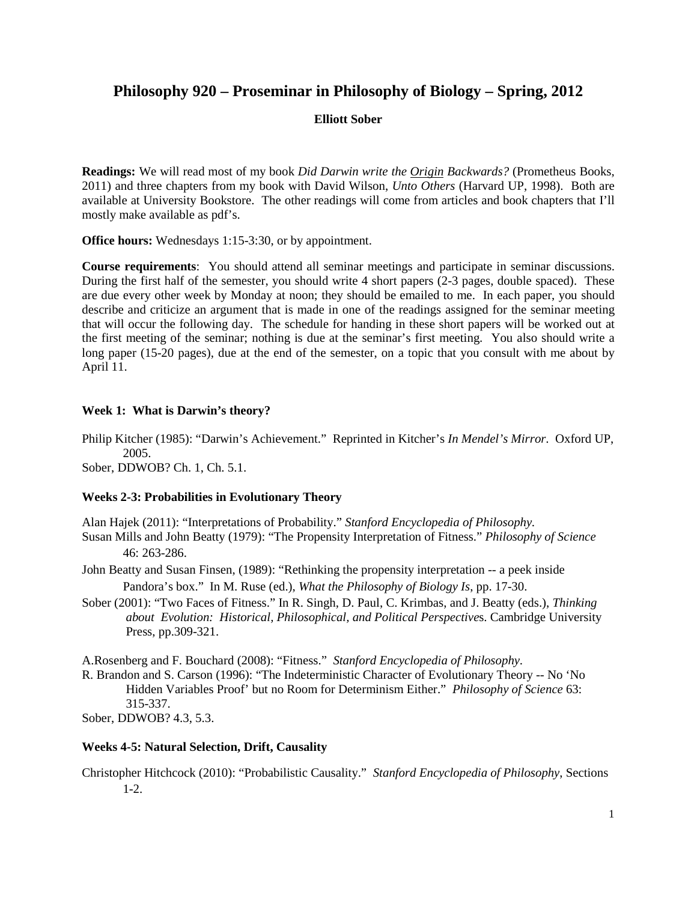# **Philosophy 920 – Proseminar in Philosophy of Biology – Spring, 2012**

## **Elliott Sober**

**Readings:** We will read most of my book *Did Darwin write the Origin Backwards?* (Prometheus Books, 2011) and three chapters from my book with David Wilson, *Unto Others* (Harvard UP, 1998). Both are available at University Bookstore. The other readings will come from articles and book chapters that I'll mostly make available as pdf's.

**Office hours:** Wednesdays 1:15-3:30, or by appointment.

**Course requirements**: You should attend all seminar meetings and participate in seminar discussions. During the first half of the semester, you should write 4 short papers (2-3 pages, double spaced). These are due every other week by Monday at noon; they should be emailed to me. In each paper, you should describe and criticize an argument that is made in one of the readings assigned for the seminar meeting that will occur the following day. The schedule for handing in these short papers will be worked out at the first meeting of the seminar; nothing is due at the seminar's first meeting. You also should write a long paper (15-20 pages), due at the end of the semester, on a topic that you consult with me about by April 11.

## **Week 1: What is Darwin's theory?**

Philip Kitcher (1985): "Darwin's Achievement." Reprinted in Kitcher's *In Mendel's Mirror*. Oxford UP, 2005.

Sober, DDWOB? Ch. 1, Ch. 5.1.

## **Weeks 2-3: Probabilities in Evolutionary Theory**

Alan Hajek (2011): "Interpretations of Probability." *Stanford Encyclopedia of Philosophy.*

Susan Mills and John Beatty (1979): "The Propensity Interpretation of Fitness." *Philosophy of Science* 46: 263-286.

John Beatty and Susan Finsen, (1989): "Rethinking the propensity interpretation -- a peek inside Pandora's box." In M. Ruse (ed.), *What the Philosophy of Biology Is*, pp. 17-30.

Sober (2001): "Two Faces of Fitness." In R. Singh, D. Paul, C. Krimbas, and J. Beatty (eds.), *Thinking about Evolution: Historical, Philosophical, and Political Perspective*s. Cambridge University Press, pp.309-321.

A.Rosenberg and F. Bouchard (2008): "Fitness." *Stanford Encyclopedia of Philosophy.*

R. Brandon and S. Carson (1996): "The Indeterministic Character of Evolutionary Theory -- No 'No Hidden Variables Proof' but no Room for Determinism Either." *Philosophy of Science* 63: 315-337.

Sober, DDWOB? 4.3, 5.3.

## **Weeks 4-5: Natural Selection, Drift, Causality**

Christopher Hitchcock (2010): "Probabilistic Causality." *Stanford Encyclopedia of Philosophy*, Sections 1-2.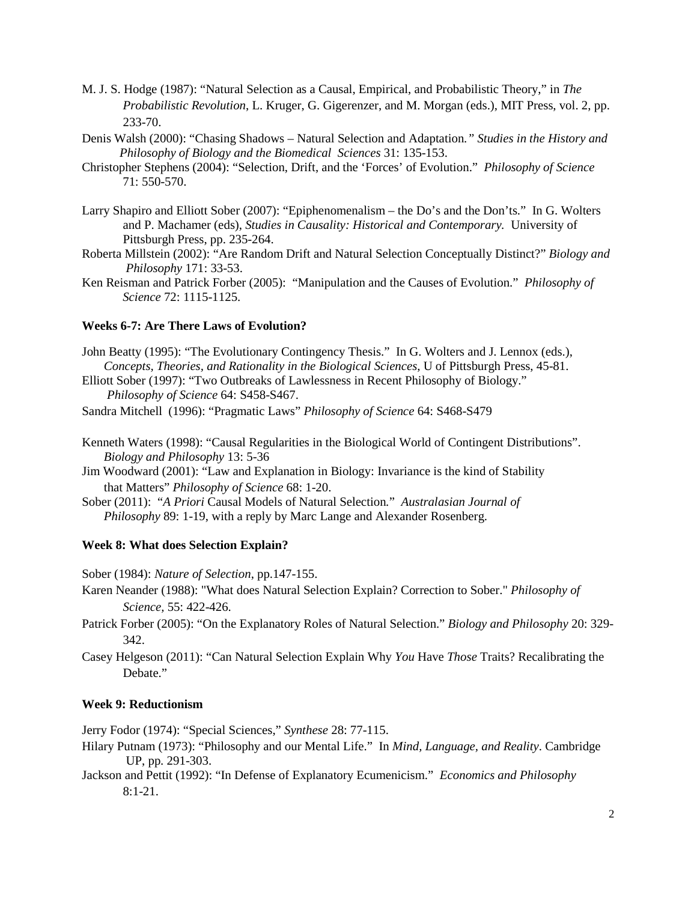- M. J. S. Hodge (1987): "Natural Selection as a Causal, Empirical, and Probabilistic Theory," in *The Probabilistic Revolution*, L. Kruger, G. Gigerenzer, and M. Morgan (eds.), MIT Press, vol. 2, pp. 233-70.
- Denis Walsh (2000): "Chasing Shadows Natural Selection and Adaptation*." Studies in the History and Philosophy of Biology and the Biomedical Sciences* 31: 135-153.
- Christopher Stephens (2004): "Selection, Drift, and the 'Forces' of Evolution." *Philosophy of Science* 71: 550-570.
- Larry Shapiro and Elliott Sober (2007): "Epiphenomenalism the Do's and the Don'ts." In G. Wolters and P. Machamer (eds), *Studies in Causality: Historical and Contemporary.* University of Pittsburgh Press, pp. 235-264.
- Roberta Millstein (2002): "Are Random Drift and Natural Selection Conceptually Distinct?" *Biology and Philosophy* 171: 33-53.
- Ken Reisman and Patrick Forber (2005): "Manipulation and the Causes of Evolution." *Philosophy of Science* 72: 1115-1125.

### **Weeks 6-7: Are There Laws of Evolution?**

- John Beatty (1995): "The Evolutionary Contingency Thesis." In G. Wolters and J. Lennox (eds.), *Concepts, Theories, and Rationality in the Biological Sciences*, U of Pittsburgh Press, 45-81.
- Elliott Sober (1997): "Two Outbreaks of Lawlessness in Recent Philosophy of Biology."  *Philosophy of Science* 64: S458-S467.
- Sandra Mitchell (1996): "Pragmatic Laws" *Philosophy of Science* 64: S468-S479
- Kenneth Waters (1998): "Causal Regularities in the Biological World of Contingent Distributions". *Biology and Philosophy* 13: 5-36
- Jim Woodward (2001): "Law and Explanation in Biology: Invariance is the kind of Stability that Matters" *Philosophy of Science* 68: 1-20.
- Sober (2011): "*A Priori* Causal Models of Natural Selection*.*" *Australasian Journal of Philosophy* 89: 1-19, with a reply by Marc Lange and Alexander Rosenberg.

### **Week 8: What does Selection Explain?**

Sober (1984): *Nature of Selection*, pp.147-155.

- Karen Neander (1988): "What does Natural Selection Explain? Correction to Sober." *Philosophy of Science,* 55: 422-426.
- Patrick Forber (2005): "On the Explanatory Roles of Natural Selection." *Biology and Philosophy* 20: 329- 342.
- Casey Helgeson (2011): "Can Natural Selection Explain Why *You* Have *Those* Traits? Recalibrating the Debate."

#### **Week 9: Reductionism**

Jerry Fodor (1974): "Special Sciences," *Synthese* 28: 77-115.

- Hilary Putnam (1973): "Philosophy and our Mental Life." In *Mind, Language, and Reality*. Cambridge UP, pp. 291-303.
- Jackson and Pettit (1992): "In Defense of Explanatory Ecumenicism." *Economics and Philosophy* 8:1-21.